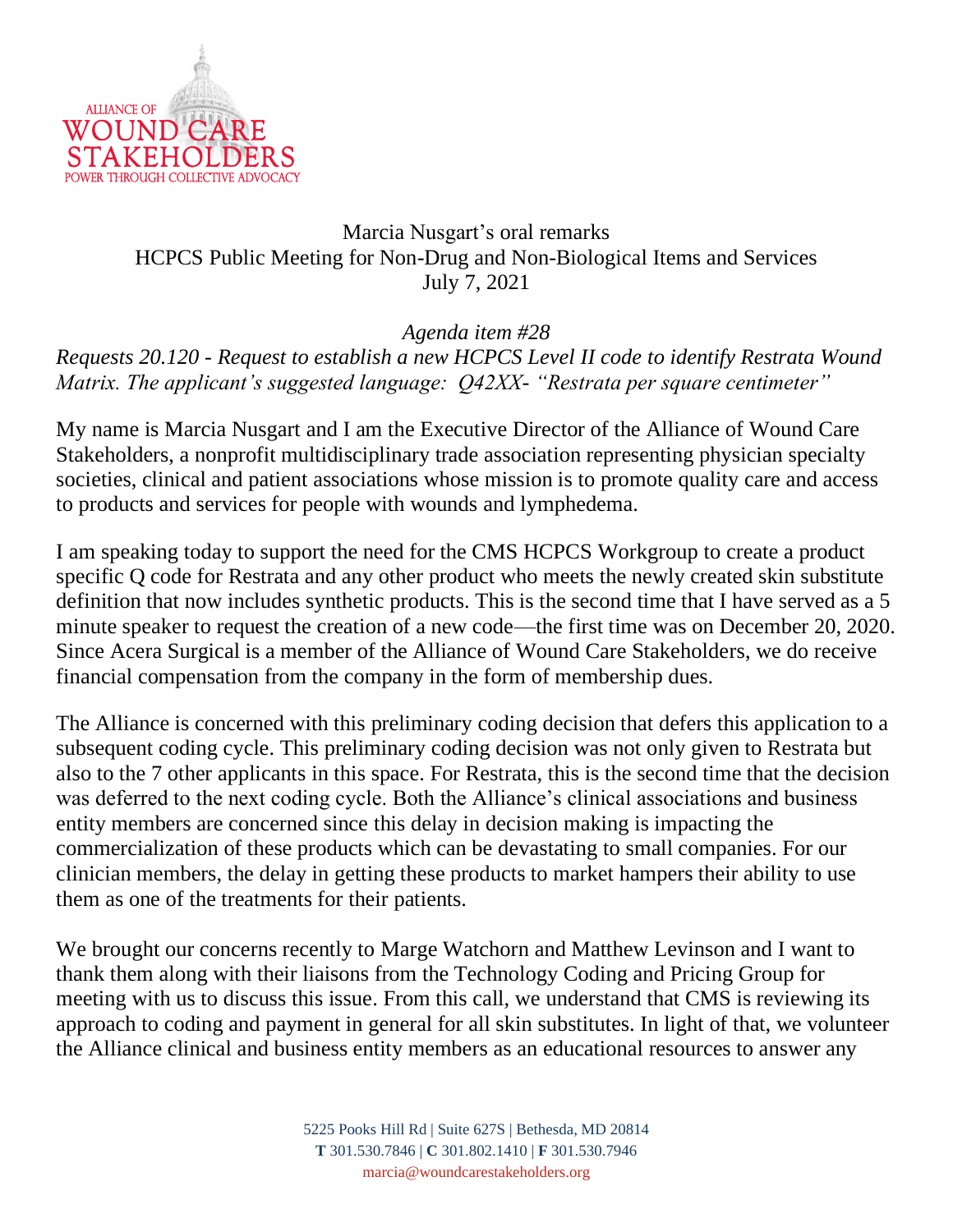

## Marcia Nusgart's oral remarks HCPCS Public Meeting for Non-Drug and Non-Biological Items and Services July 7, 2021

*Agenda item #28 Requests 20.120 - Request to establish a new HCPCS Level II code to identify Restrata Wound Matrix. The applicant's suggested language: Q42XX- "Restrata per square centimeter"*

My name is Marcia Nusgart and I am the Executive Director of the Alliance of Wound Care Stakeholders, a nonprofit multidisciplinary trade association representing physician specialty societies, clinical and patient associations whose mission is to promote quality care and access to products and services for people with wounds and lymphedema.

I am speaking today to support the need for the CMS HCPCS Workgroup to create a product specific Q code for Restrata and any other product who meets the newly created skin substitute definition that now includes synthetic products. This is the second time that I have served as a 5 minute speaker to request the creation of a new code—the first time was on December 20, 2020. Since Acera Surgical is a member of the Alliance of Wound Care Stakeholders, we do receive financial compensation from the company in the form of membership dues.

The Alliance is concerned with this preliminary coding decision that defers this application to a subsequent coding cycle. This preliminary coding decision was not only given to Restrata but also to the 7 other applicants in this space. For Restrata, this is the second time that the decision was deferred to the next coding cycle. Both the Alliance's clinical associations and business entity members are concerned since this delay in decision making is impacting the commercialization of these products which can be devastating to small companies. For our clinician members, the delay in getting these products to market hampers their ability to use them as one of the treatments for their patients.

We brought our concerns recently to Marge Watchorn and Matthew Levinson and I want to thank them along with their liaisons from the Technology Coding and Pricing Group for meeting with us to discuss this issue. From this call, we understand that CMS is reviewing its approach to coding and payment in general for all skin substitutes. In light of that, we volunteer the Alliance clinical and business entity members as an educational resources to answer any